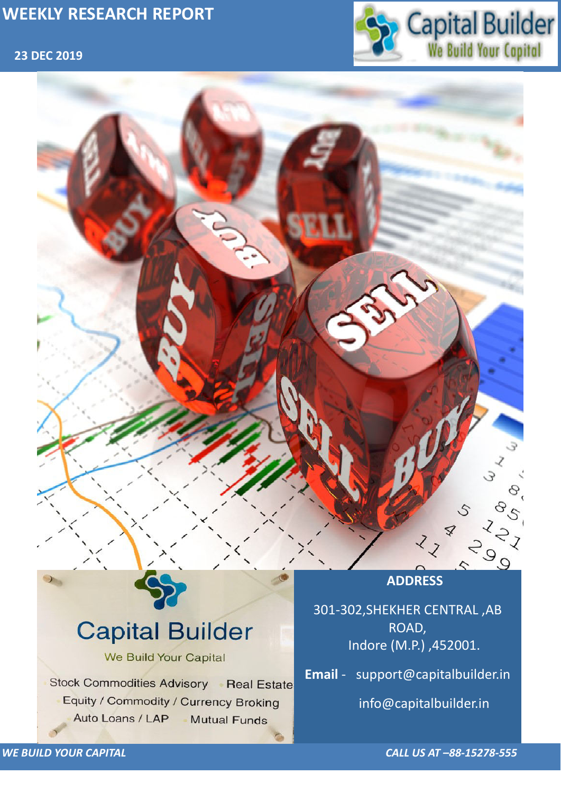## **23 DEC 2019**



*WE BUILD YOUR CAPITAL CALL US AT –88-15278-555*

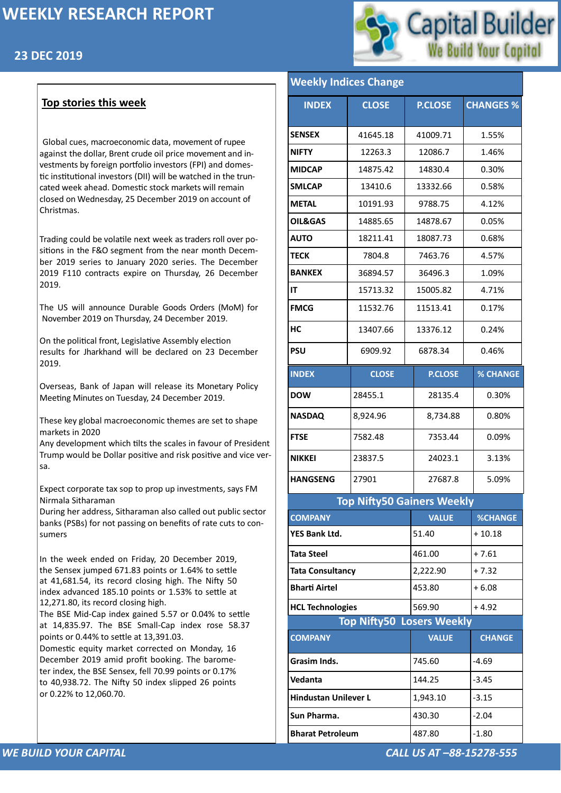



### *WE BUILD YOUR CAPITAL CALL US AT –88-15278-555*

## **Top stories this week**

Global cues, macroeconomic data, movement of rupee against the dollar, Brent crude oil price movement and investments by foreign portfolio investors (FPI) and domestic institutional investors (DII) will be watched in the truncated week ahead. Domestic stock markets will remain closed on Wednesday, 25 December 2019 on account of Christmas.

Trading could be volatile next week as traders roll over positions in the F&O segment from the near month December 2019 series to January 2020 series. The December 2019 F110 contracts expire on Thursday, 26 December 2019.

The US will announce Durable Goods Orders (MoM) for November 2019 on Thursday, 24 December 2019.

On the political front, Legislative Assembly election results for Jharkhand will be declared on 23 December 2019.

Overseas, Bank of Japan will release its Monetary Policy Meeting Minutes on Tuesday, 24 December 2019.

These key global macroeconomic themes are set to shape markets in 2020

Any development which tilts the scales in favour of President Trump would be Dollar positive and risk positive and vice versa.

Expect corporate tax sop to prop up investments, says FM Nirmala Sitharaman

During her address, Sitharaman also called out public sector banks (PSBs) for not passing on benefits of rate cuts to consumers

In the week ended on Friday, 20 December 2019, the Sensex jumped 671.83 points or 1.64% to settle at 41,681.54, its record closing high. The Nifty 50 index advanced 185.10 points or 1.53% to settle at

12,271.80, its record closing high.

The BSE Mid-Cap index gained 5.57 or 0.04% to settle at 14,835.97. The BSE Small-Cap index rose 58.37 points or 0.44% to settle at 13,391.03.

Domestic equity market corrected on Monday, 16 December 2019 amid profit booking. The barometer index, the BSE Sensex, fell 70.99 points or 0.17% to 40,938.72. The Nifty 50 index slipped 26 points or 0.22% to 12,060.70.

## **Weekly Indices Change**

| <b>INDEX</b>                      | <b>CLOSE</b> | <b>P.CLOSE</b> | <b>CHANGES %</b> |  |  |  |  |  |
|-----------------------------------|--------------|----------------|------------------|--|--|--|--|--|
| <b>SENSEX</b>                     | 41645.18     | 41009.71       | 1.55%            |  |  |  |  |  |
| <b>NIFTY</b>                      | 12263.3      | 12086.7        | 1.46%            |  |  |  |  |  |
| <b>MIDCAP</b>                     | 14875.42     | 14830.4        | 0.30%            |  |  |  |  |  |
| <b>SMLCAP</b>                     | 13410.6      | 13332.66       | 0.58%            |  |  |  |  |  |
| <b>METAL</b>                      | 10191.93     | 9788.75        | 4.12%            |  |  |  |  |  |
| <b>OIL&amp;GAS</b>                | 14885.65     | 14878.67       | 0.05%            |  |  |  |  |  |
| <b>AUTO</b>                       | 18211.41     | 18087.73       | 0.68%            |  |  |  |  |  |
| <b>TECK</b>                       | 7804.8       | 7463.76        | 4.57%            |  |  |  |  |  |
| <b>BANKEX</b>                     | 36894.57     | 36496.3        | 1.09%            |  |  |  |  |  |
| IT                                | 15713.32     | 15005.82       | 4.71%            |  |  |  |  |  |
| <b>FMCG</b>                       | 11532.76     | 11513.41       | 0.17%            |  |  |  |  |  |
| HC                                | 13407.66     | 13376.12       | 0.24%            |  |  |  |  |  |
| <b>PSU</b>                        | 6909.92      | 6878.34        | 0.46%            |  |  |  |  |  |
| <b>INDEX</b>                      | <b>CLOSE</b> | <b>P.CLOSE</b> | <b>% CHANGE</b>  |  |  |  |  |  |
| <b>DOW</b>                        | 28455.1      | 28135.4        | 0.30%            |  |  |  |  |  |
| <b>NASDAQ</b>                     | 8,924.96     | 8,734.88       | 0.80%            |  |  |  |  |  |
| <b>FTSE</b>                       | 7582.48      | 7353.44        | 0.09%            |  |  |  |  |  |
| <b>NIKKEI</b>                     | 23837.5      | 24023.1        | 3.13%            |  |  |  |  |  |
| <b>HANGSENG</b>                   | 27901        | 27687.8        | 5.09%            |  |  |  |  |  |
| <b>Top Nifty50 Gainers Weekly</b> |              |                |                  |  |  |  |  |  |
| <b>COMPANY</b>                    |              | <b>VALUE</b>   | <b>%CHANGE</b>   |  |  |  |  |  |
| <b>YES Bank Ltd.</b>              |              | 51.40          | $+10.18$         |  |  |  |  |  |
| <b>Tata Steel</b>                 |              | 461.00         | $+7.61$          |  |  |  |  |  |
| <b>Tata Consultancy</b>           |              | 2,222.90       | $+7.32$          |  |  |  |  |  |
| <b>Bharti Airtel</b>              |              | 453.80         | $+6.08$          |  |  |  |  |  |
| <b>HCL Technologies</b>           |              | 569.90         | $+4.92$          |  |  |  |  |  |
| <b>Top Nifty50 Losers Weekly</b>  |              |                |                  |  |  |  |  |  |
| <b>COMPANY</b>                    |              | <b>VALUE</b>   | <b>CHANGE</b>    |  |  |  |  |  |
| <b>Grasim Inds.</b>               |              | 745.60         | $-4.69$          |  |  |  |  |  |
| <b>Vedanta</b>                    |              | 144.25         | $-3.45$          |  |  |  |  |  |
| <b>Hindustan Unilever L</b>       |              | 1,943.10       | $-3.15$          |  |  |  |  |  |
| Sun Pharma.                       |              | 430.30         | $-2.04$          |  |  |  |  |  |
| <b>Bharat Petroleum</b>           |              | 487.80         | $-1.80$          |  |  |  |  |  |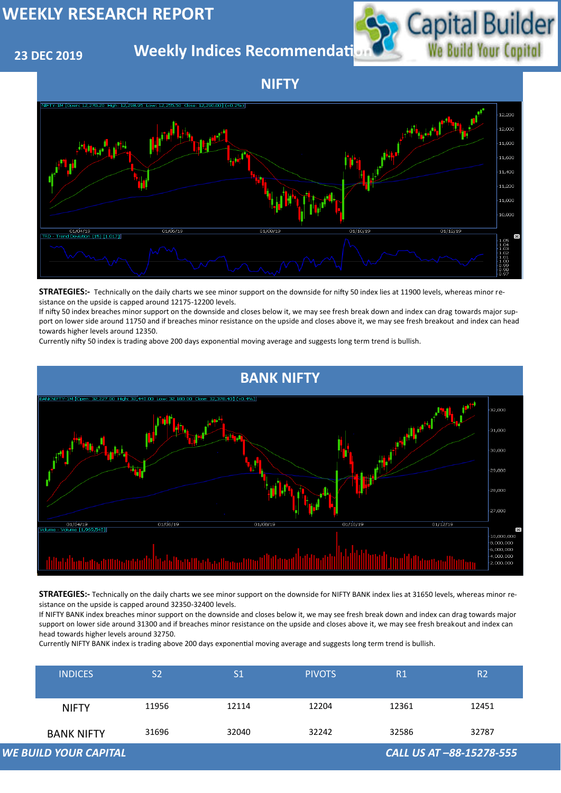## **23 DEC 2019**

**Weekly Indices Recommendati** 



| <b>INDICES</b>               | S <sub>2</sub> | S <sub>1</sub> | <b>PIVOTS</b> | R1    | R <sub>2</sub>           |
|------------------------------|----------------|----------------|---------------|-------|--------------------------|
| <b>NIFTY</b>                 | 11956          | 12114          | 12204         | 12361 | 12451                    |
| <b>BANK NIFTY</b>            | 31696          | 32040          | 32242         | 32586 | 32787                    |
| <b>WE BUILD YOUR CAPITAL</b> |                |                |               |       | CALL US AT -88-15278-555 |







**STRATEGIES:-** Technically on the daily charts we see minor support on the downside for nifty 50 index lies at 11900 levels, whereas minor resistance on the upside is capped around 12175-12200 levels.

If nifty 50 index breaches minor support on the downside and closes below it, we may see fresh break down and index can drag towards major support on lower side around 11750 and if breaches minor resistance on the upside and closes above it, we may see fresh breakout and index can head towards higher levels around 12350.

Currently nifty 50 index is trading above 200 days exponential moving average and suggests long term trend is bullish.

**STRATEGIES:-** Technically on the daily charts we see minor support on the downside for NIFTY BANK index lies at 31650 levels, whereas minor re-

sistance on the upside is capped around 32350-32400 levels.

If NIFTY BANK index breaches minor support on the downside and closes below it, we may see fresh break down and index can drag towards major support on lower side around 31300 and if breaches minor resistance on the upside and closes above it, we may see fresh breakout and index can head towards higher levels around 32750.

Currently NIFTY BANK index is trading above 200 days exponential moving average and suggests long term trend is bullish.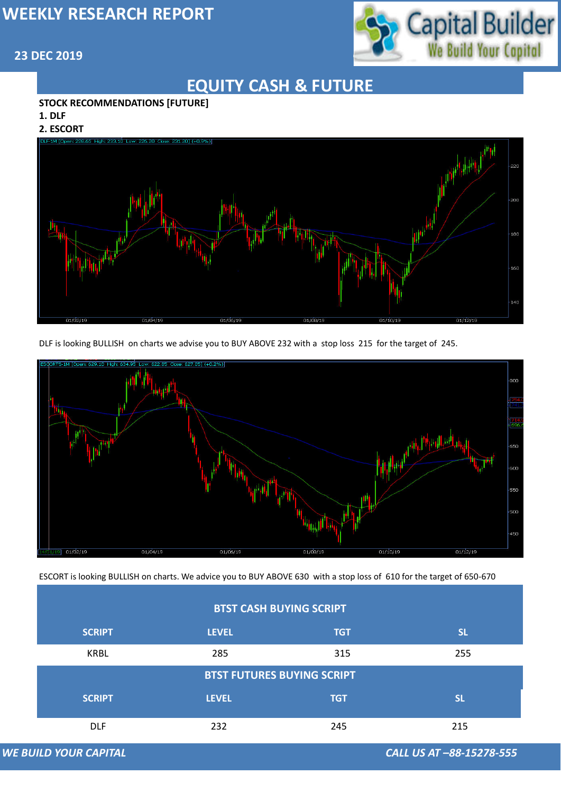# **23 DEC 2019**



*WE BUILD YOUR CAPITAL CALL US AT –88-15278-555*

# **EQUITY CASH & FUTURE**

## **STOCK RECOMMENDATIONS [FUTURE]**

#### **1. DLF**

### **2. ESCORT**



DLF is looking BULLISH on charts we advise you to BUY ABOVE 232 with a stop loss 215 for the target of 245.





#### **WE BUILD YOUR CAPITAL**

ESCORT is looking BULLISH on charts. We advice you to BUY ABOVE 630 with a stop loss of 610 for the target of 650-670